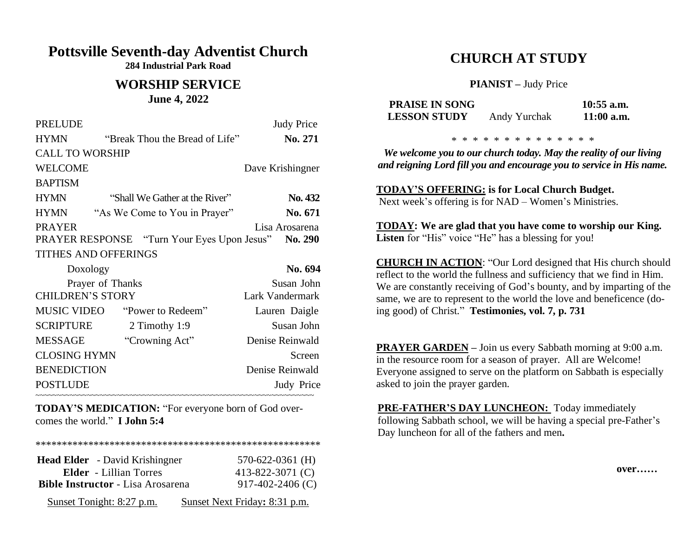## **Pottsville Seventh-day Adventist Church**

**284 Industrial Park Road**

#### **WORSHIP SERVICE June 4, 2022**

| <b>PRELUDE</b>              |                                                            | <b>Judy Price</b> |
|-----------------------------|------------------------------------------------------------|-------------------|
| <b>HYMN</b>                 | "Break Thou the Bread of Life"                             | No. 271           |
| <b>CALL TO WORSHIP</b>      |                                                            |                   |
| <b>WELCOME</b>              |                                                            | Dave Krishingner  |
| <b>BAPTISM</b>              |                                                            |                   |
| <b>HYMN</b>                 | "Shall We Gather at the River"                             | No. 432           |
| <b>HYMN</b>                 | "As We Come to You in Prayer"                              | No. 671           |
| <b>PRAYER</b>               |                                                            | Lisa Arosarena    |
|                             | <b>PRAYER RESPONSE</b> "Turn Your Eyes Upon Jesus" No. 290 |                   |
| <b>TITHES AND OFFERINGS</b> |                                                            |                   |
| Doxology                    |                                                            | No. 694           |
|                             | Prayer of Thanks                                           | Susan John        |
| <b>CHILDREN'S STORY</b>     |                                                            | Lark Vandermark   |
|                             | MUSIC VIDEO "Power to Redeem"                              | Lauren Daigle     |
| SCRIPTURE                   | 2 Timothy 1:9                                              | Susan John        |
| <b>MESSAGE</b>              | "Crowning Act"                                             | Denise Reinwald   |
| <b>CLOSING HYMN</b>         |                                                            | Screen            |
| <b>BENEDICTION</b>          |                                                            | Denise Reinwald   |
| <b>POSTLUDE</b>             |                                                            | Judy Price        |
|                             |                                                            |                   |

**TODAY'S MEDICATION:** "For everyone born of God overcomes the world." **I John 5:4**

\*\*\*\*\*\*\*\*\*\*\*\*\*\*\*\*\*\*\*\*\*\*\*\*\*\*\*\*\*\*\*\*\*\*\*\*\*\*\*\*\*\*\*\*\*\*\*\*\*\*\*\*\*\*

| <b>Head Elder</b> - David Krishingner    | $570-622-0361$ (H)            |
|------------------------------------------|-------------------------------|
| <b>Elder</b> - Lillian Torres            | 413-822-3071 $(C)$            |
| <b>Bible Instructor</b> - Lisa Arosarena | $917-402-2406$ (C)            |
| Sunset Tonight: 8:27 p.m.                | Sunset Next Friday: 8:31 p.m. |

# **CHURCH AT STUDY**

**PIANIST –** Judy Price

| <b>PRAISE IN SONG</b> |              | $10:55$ a.m. |
|-----------------------|--------------|--------------|
| <b>LESSON STUDY</b>   | Andy Yurchak | $11:00$ a.m. |

\* \* \* \* \* \* \* \* \* \* \* \* \*

*We welcome you to our church today. May the reality of our living and reigning Lord fill you and encourage you to service in His name.*

**TODAY'S OFFERING: is for Local Church Budget.** Next week's offering is for NAD – Women's Ministries.

**TODAY: We are glad that you have come to worship our King.**  Listen for "His" voice "He" has a blessing for you!

**CHURCH IN ACTION**: "Our Lord designed that His church should reflect to the world the fullness and sufficiency that we find in Him. We are constantly receiving of God's bounty, and by imparting of the same, we are to represent to the world the love and beneficence (doing good) of Christ." **Testimonies, vol. 7, p. 731**

**PRAYER GARDEN –** Join us every Sabbath morning at 9:00 a.m. in the resource room for a season of prayer. All are Welcome! Everyone assigned to serve on the platform on Sabbath is especially asked to join the prayer garden.

**PRE-FATHER'S DAY LUNCHEON:** Today immediately following Sabbath school, we will be having a special pre-Father's Day luncheon for all of the fathers and men**.**

 **over……**